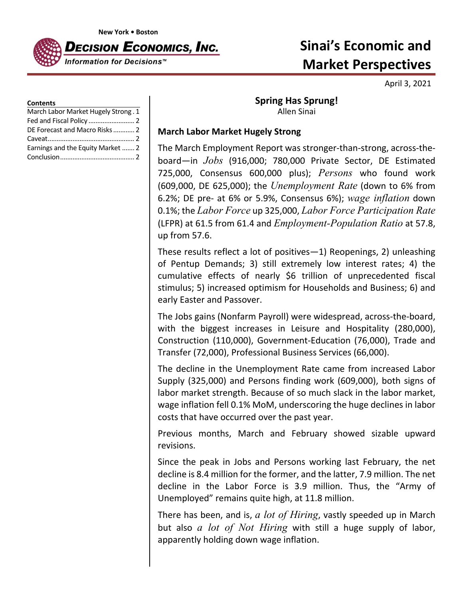**New York • Boston**



# **Sinai's Economic and Market Perspectives**

April 3, 2021

#### **Contents**

| March Labor Market Hugely Strong. 1 |  |
|-------------------------------------|--|
|                                     |  |
| DE Forecast and Macro Risks 2       |  |
|                                     |  |
| Earnings and the Equity Market  2   |  |
|                                     |  |

## **Spring Has Sprung!** Allen Sinai

#### **March Labor Market Hugely Strong**

The March Employment Report was stronger‐than‐strong, across‐the‐ board—in *Jobs* (916,000; 780,000 Private Sector, DE Estimated 725,000, Consensus 600,000 plus); *Persons* who found work (609,000, DE 625,000); the *Unemployment Rate* (down to 6% from 6.2%; DE pre‐ at 6% or 5.9%, Consensus 6%); *wage inflation* down 0.1%; the *Labor Force* up 325,000, *Labor Force Participation Rate* (LFPR) at 61.5 from 61.4 and *Employment-Population Ratio* at 57.8, up from 57.6.

These results reflect a lot of positives—1) Reopenings, 2) unleashing of Pentup Demands; 3) still extremely low interest rates; 4) the cumulative effects of nearly \$6 trillion of unprecedented fiscal stimulus; 5) increased optimism for Households and Business; 6) and early Easter and Passover.

The Jobs gains (Nonfarm Payroll) were widespread, across‐the‐board, with the biggest increases in Leisure and Hospitality (280,000), Construction (110,000), Government‐Education (76,000), Trade and Transfer (72,000), Professional Business Services (66,000).

The decline in the Unemployment Rate came from increased Labor Supply (325,000) and Persons finding work (609,000), both signs of labor market strength. Because of so much slack in the labor market, wage inflation fell 0.1% MoM, underscoring the huge declines in labor costs that have occurred over the past year.

Previous months, March and February showed sizable upward revisions.

Since the peak in Jobs and Persons working last February, the net decline is 8.4 million for the former, and the latter, 7.9 million. The net decline in the Labor Force is 3.9 million. Thus, the "Army of Unemployed" remains quite high, at 11.8 million.

There has been, and is, *a lot of Hiring*, vastly speeded up in March but also *a lot of Not Hiring* with still a huge supply of labor, apparently holding down wage inflation.